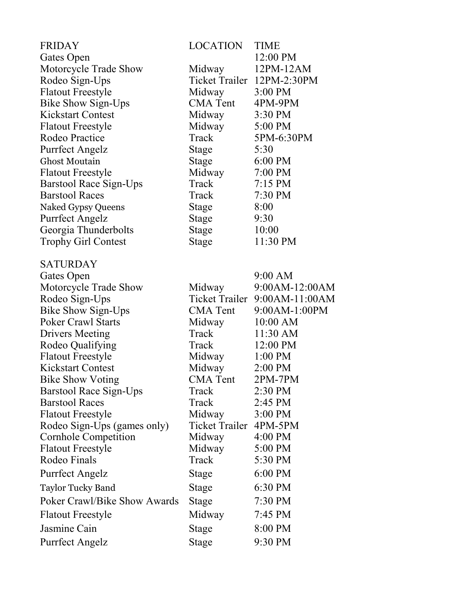| <b>FRIDAY</b>                | <b>LOCATION</b>        | <b>TIME</b>                |
|------------------------------|------------------------|----------------------------|
| Gates Open                   |                        | 12:00 PM                   |
| Motorcycle Trade Show        | Midway                 | 12PM-12AM                  |
| Rodeo Sign-Ups               |                        | Ticket Trailer 12PM-2:30PM |
| <b>Flatout Freestyle</b>     | Midway                 | 3:00 PM                    |
| Bike Show Sign-Ups           | <b>CMA</b> Tent        | 4PM-9PM                    |
| <b>Kickstart Contest</b>     | Midway                 | 3:30 PM                    |
| <b>Flatout Freestyle</b>     | Midway                 | 5:00 PM                    |
| Rodeo Practice               | Track                  | 5PM-6:30PM                 |
| Purrfect Angelz              | Stage                  | 5:30                       |
| <b>Ghost Moutain</b>         | Stage                  | $6:00$ PM                  |
| <b>Flatout Freestyle</b>     | Midway                 | 7:00 PM                    |
| Barstool Race Sign-Ups       | Track                  | $7:15$ PM                  |
| <b>Barstool Races</b>        | Track                  | 7:30 PM                    |
| <b>Naked Gypsy Queens</b>    | Stage                  | 8:00                       |
| <b>Purrfect Angelz</b>       | <b>Stage</b>           | 9:30                       |
| Georgia Thunderbolts         | <b>Stage</b>           | 10:00                      |
| <b>Trophy Girl Contest</b>   | <b>Stage</b>           | 11:30 PM                   |
| <b>SATURDAY</b>              |                        |                            |
| Gates Open                   |                        | $9:00$ AM                  |
| Motorcycle Trade Show        | Midway                 | 9:00AM-12:00AM             |
| Rodeo Sign-Ups               | Ticket Trailer         | 9:00AM-11:00AM             |
| <b>Bike Show Sign-Ups</b>    | CMA Tent               | 9:00AM-1:00PM              |
| <b>Poker Crawl Starts</b>    | Midway                 | $10:00$ AM                 |
| <b>Drivers Meeting</b>       | Track                  | 11:30 AM                   |
| Rodeo Qualifying             | Track                  | 12:00 PM                   |
| <b>Flatout Freestyle</b>     | Midway                 | $1:00$ PM                  |
| <b>Kickstart Contest</b>     | Midway                 | 2:00 PM                    |
| <b>Bike Show Voting</b>      | <b>CMA</b> Tent        | $2PM-7PM$                  |
| Barstool Race Sign-Ups       | Track                  | 2:30 PM                    |
| <b>Barstool Races</b>        | Track                  | 2:45 PM                    |
| <b>Flatout Freestyle</b>     | Midway                 | $3:00$ PM                  |
| Rodeo Sign-Ups (games only)  | Ticket Trailer 4PM-5PM |                            |
| Cornhole Competition         | Midway                 | $4:00$ PM                  |
| <b>Flatout Freestyle</b>     | Midway                 | 5:00 PM                    |
| Rodeo Finals                 | Track                  | 5:30 PM                    |
| Purrfect Angelz              | Stage                  | 6:00 PM                    |
| <b>Taylor Tucky Band</b>     | Stage                  | 6:30 PM                    |
| Poker Crawl/Bike Show Awards | Stage                  | 7:30 PM                    |
| <b>Flatout Freestyle</b>     | Midway                 | 7:45 PM                    |
| Jasmine Cain                 | Stage                  | 8:00 PM                    |
| Purrfect Angelz              | <b>Stage</b>           | 9:30 PM                    |